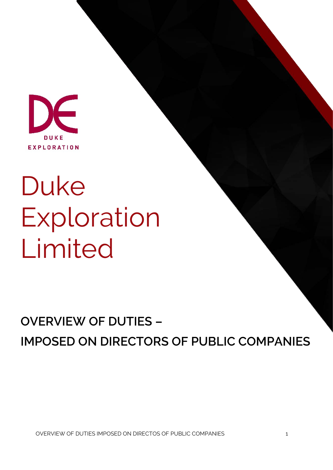

# Duke Exploration Limited

# **OVERVIEW OF DUTIES – IMPOSED ON DIRECTORS OF PUBLIC COMPANIES**

OVERVIEW OF DUTIES IMPOSED ON DIRECTOS OF PUBLIC COMPANIES 1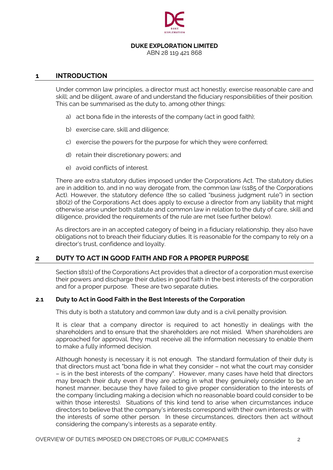

# **DUKE EXPLORATION LIMITED**

ABN 28 119 421 868

# **1 INTRODUCTION**

Under common law principles, a director must act honestly; exercise reasonable care and skill; and be diligent, aware of and understand the fiduciary responsibilities of their position. This can be summarised as the duty to, among other things:

- a) act bona fide in the interests of the company (act in good faith);
- b) exercise care, skill and diligence;
- c) exercise the powers for the purpose for which they were conferred;
- d) retain their discretionary powers; and
- e) avoid conflicts of interest.

There are extra statutory duties imposed under the Corporations Act. The statutory duties are in addition to, and in no way derogate from, the common law (s185 of the Corporations Act). However, the statutory defence (the so called "business judgment rule") in section 180(2) of the Corporations Act does apply to excuse a director from any liability that might otherwise arise under both statute and common law in relation to the duty of care, skill and diligence, provided the requirements of the rule are met (see further below).

As directors are in an accepted category of being in a fiduciary relationship, they also have obligations not to breach their fiduciary duties. It is reasonable for the company to rely on a director's trust, confidence and loyalty.

# **2 DUTY TO ACT IN GOOD FAITH AND FOR A PROPER PURPOSE**

Section 181(1) of the Corporations Act provides that a director of a corporation must exercise their powers and discharge their duties in good faith in the best interests of the corporation and for a proper purpose. These are two separate duties.

# **2.1 Duty to Act in Good Faith in the Best Interests of the Corporation**

This duty is both a statutory and common law duty and is a civil penalty provision.

It is clear that a company director is required to act honestly in dealings with the shareholders and to ensure that the shareholders are not misled. When shareholders are approached for approval, they must receive all the information necessary to enable them to make a fully informed decision.

Although honesty is necessary it is not enough. The standard formulation of their duty is that directors must act "bona fide in what they consider – not what the court may consider – is in the best interests of the company". However, many cases have held that directors may breach their duty even if they are acting in what they genuinely consider to be an honest manner, because they have failed to give proper consideration to the interests of the company (including making a decision which no reasonable board could consider to be within those interests). Situations of this kind tend to arise when circumstances induce directors to believe that the company's interests correspond with their own interests or with the interests of some other person. In these circumstances, directors then act without considering the company's interests as a separate entity.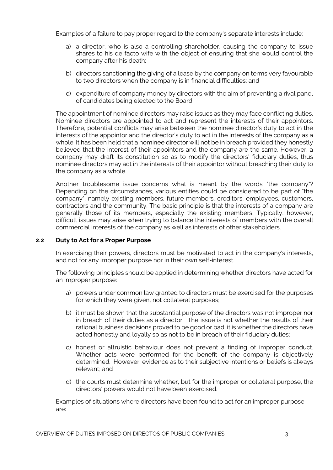Examples of a failure to pay proper regard to the company's separate interests include:

- a) a director, who is also a controlling shareholder, causing the company to issue shares to his de facto wife with the object of ensuring that she would control the company after his death;
- b) directors sanctioning the giving of a lease by the company on terms very favourable to two directors when the company is in financial difficulties; and
- c) expenditure of company money by directors with the aim of preventing a rival panel of candidates being elected to the Board.

The appointment of nominee directors may raise issues as they may face conflicting duties. Nominee directors are appointed to act and represent the interests of their appointors. Therefore, potential conflicts may arise between the nominee director's duty to act in the interests of the appointor and the director's duty to act in the interests of the company as a whole. It has been held that a nominee director will not be in breach provided they honestly believed that the interest of their appointors and the company are the same. However, a company may draft its constitution so as to modify the directors' fiduciary duties, thus nominee directors may act in the interests of their appointor without breaching their duty to the company as a whole.

Another troublesome issue concerns what is meant by the words "the company"? Depending on the circumstances, various entities could be considered to be part of "the company", namely existing members, future members, creditors, employees, customers, contractors and the community. The basic principle is that the interests of a company are generally those of its members, especially the existing members. Typically, however, difficult issues may arise when trying to balance the interests of members with the overall commercial interests of the company as well as interests of other stakeholders.

# **2.2 Duty to Act for a Proper Purpose**

In exercising their powers, directors must be motivated to act in the company's interests, and not for any improper purpose nor in their own self-interest.

The following principles should be applied in determining whether directors have acted for an improper purpose:

- a) powers under common law granted to directors must be exercised for the purposes for which they were given, not collateral purposes;
- b) it must be shown that the substantial purpose of the directors was not improper nor in breach of their duties as a director. The issue is not whether the results of their rational business decisions proved to be good or bad; it is whether the directors have acted honestly and loyally so as not to be in breach of their fiduciary duties;
- c) honest or altruistic behaviour does not prevent a finding of improper conduct. Whether acts were performed for the benefit of the company is objectively determined. However, evidence as to their subjective intentions or beliefs is always relevant; and
- d) the courts must determine whether, but for the improper or collateral purpose, the directors' powers would not have been exercised.

Examples of situations where directors have been found to act for an improper purpose are: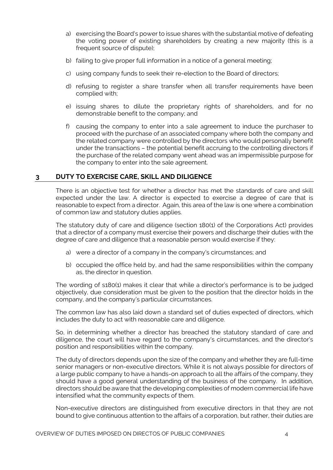- a) exercising the Board's power to issue shares with the substantial motive of defeating the voting power of existing shareholders by creating a new majority (this is a frequent source of dispute);
- b) failing to give proper full information in a notice of a general meeting;
- c) using company funds to seek their re-election to the Board of directors;
- d) refusing to register a share transfer when all transfer requirements have been complied with;
- e) issuing shares to dilute the proprietary rights of shareholders, and for no demonstrable benefit to the company; and
- f) causing the company to enter into a sale agreement to induce the purchaser to proceed with the purchase of an associated company where both the company and the related company were controlled by the directors who would personally benefit under the transactions – the potential benefit accruing to the controlling directors if the purchase of the related company went ahead was an impermissible purpose for the company to enter into the sale agreement.

# **3 DUTY TO EXERCISE CARE, SKILL AND DILIGENCE**

There is an objective test for whether a director has met the standards of care and skill expected under the law. A director is expected to exercise a degree of care that is reasonable to expect from a director. Again, this area of the law is one where a combination of common law and statutory duties applies.

The statutory duty of care and diligence (section 180(1) of the Corporations Act) provides that a director of a company must exercise their powers and discharge their duties with the degree of care and diligence that a reasonable person would exercise if they:

- a) were a director of a company in the company's circumstances; and
- b) occupied the office held by, and had the same responsibilities within the company as, the director in question.

The wording of s180(1) makes it clear that while a director's performance is to be judged objectively, due consideration must be given to the position that the director holds in the company, and the company's particular circumstances.

The common law has also laid down a standard set of duties expected of directors, which includes the duty to act with reasonable care and diligence.

So, in determining whether a director has breached the statutory standard of care and diligence, the court will have regard to the company's circumstances, and the director's position and responsibilities within the company.

The duty of directors depends upon the size of the company and whether they are full-time senior managers or non-executive directors. While it is not always possible for directors of a large public company to have a hands-on approach to all the affairs of the company, they should have a good general understanding of the business of the company. In addition, directors should be aware that the developing complexities of modern commercial life have intensified what the community expects of them.

Non-executive directors are distinguished from executive directors in that they are not bound to give continuous attention to the affairs of a corporation, but rather, their duties are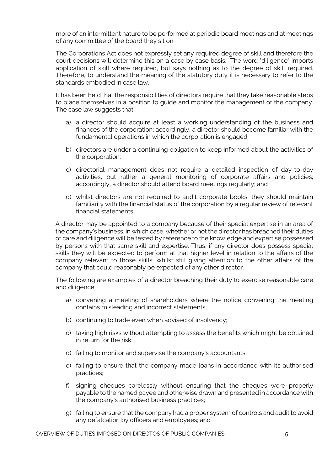more of an intermittent nature to be performed at periodic board meetings and at meetings of any committee of the board they sit on.

The Corporations Act does not expressly set any required degree of skill and therefore the court decisions will determine this on a case by case basis. The word "diligence" imports application of skill where required, but says nothing as to the degree of skill required. Therefore, to understand the meaning of the statutory duty it is necessary to refer to the standards embodied in case law.

It has been held that the responsibilities of directors require that they take reasonable steps to place themselves in a position to guide and monitor the management of the company. The case law suggests that:

- a) a director should acquire at least a working understanding of the business and finances of the corporation; accordingly, a director should become familiar with the fundamental operations in which the corporation is engaged;
- b) directors are under a continuing obligation to keep informed about the activities of the corporation;
- c) directorial management does not require a detailed inspection of day-to-day activities, but rather a general monitoring of corporate affairs and policies; accordingly, a director should attend board meetings regularly; and
- d) whilst directors are not required to audit corporate books, they should maintain familiarity with the financial status of the corporation by a regular review of relevant financial statements.

A director may be appointed to a company because of their special expertise in an area of the company's business, in which case, whether or not the director has breached their duties of care and diligence will be tested by reference to the knowledge and expertise possessed by persons with that same skill and expertise. Thus, if any director does possess special skills they will be expected to perform at that higher level in relation to the affairs of the company relevant to those skills, whilst still giving attention to the other affairs of the company that could reasonably be expected of any other director.

The following are examples of a director breaching their duty to exercise reasonable care and diligence:

- a) convening a meeting of shareholders where the notice convening the meeting contains misleading and incorrect statements;
- b) continuing to trade even when advised of insolvency;
- c) taking high risks without attempting to assess the benefits which might be obtained in return for the risk;
- d) failing to monitor and supervise the company's accountants;
- e) failing to ensure that the company made loans in accordance with its authorised practices;
- f) signing cheques carelessly without ensuring that the cheques were properly payable to the named payee and otherwise drawn and presented in accordance with the company's authorised business practices;
- g) failing to ensure that the company had a proper system of controls and audit to avoid any defalcation by officers and employees; and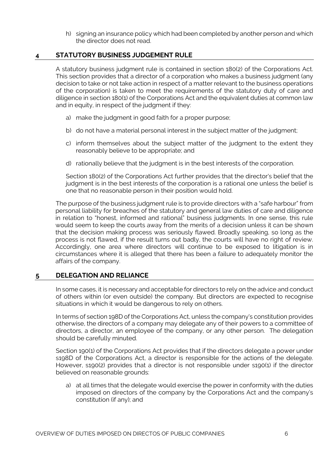h) signing an insurance policy which had been completed by another person and which the director does not read.

# **4 STATUTORY BUSINESS JUDGEMENT RULE**

A statutory business judgment rule is contained in section 180(2) of the Corporations Act. This section provides that a director of a corporation who makes a business judgment (any decision to take or not take action in respect of a matter relevant to the business operations of the corporation) is taken to meet the requirements of the statutory duty of care and diligence in section 180(1) of the Corporations Act and the equivalent duties at common law and in equity, in respect of the judgment if they:

- a) make the judgment in good faith for a proper purpose;
- b) do not have a material personal interest in the subject matter of the judgment;
- c) inform themselves about the subject matter of the judgment to the extent they reasonably believe to be appropriate; and
- d) rationally believe that the judgment is in the best interests of the corporation.

Section 180(2) of the Corporations Act further provides that the director's belief that the judgment is in the best interests of the corporation is a rational one unless the belief is one that no reasonable person in their position would hold.

The purpose of the business judgment rule is to provide directors with a "safe harbour" from personal liability for breaches of the statutory and general law duties of care and diligence in relation to "honest, informed and rational" business judgments. In one sense, this rule would seem to keep the courts away from the merits of a decision unless it can be shown that the decision making process was seriously flawed. Broadly speaking, so long as the process is not flawed, if the result turns out badly, the courts will have no right of review. Accordingly, one area where directors will continue to be exposed to litigation is in circumstances where it is alleged that there has been a failure to adequately monitor the affairs of the company.

# **5 DELEGATION AND RELIANCE**

In some cases, it is necessary and acceptable for directors to rely on the advice and conduct of others within (or even outside) the company. But directors are expected to recognise situations in which it would be dangerous to rely on others.

In terms of section 198D of the Corporations Act, unless the company's constitution provides otherwise, the directors of a company may delegate any of their powers to a committee of directors, a director, an employee of the company, or any other person. The delegation should be carefully minuted.

Section 190(1) of the Corporations Act provides that if the directors delegate a power under s198D of the Corporations Act, a director is responsible for the actions of the delegate. However, s190(2) provides that a director is not responsible under s190(1) if the director believed on reasonable grounds:

a) at all times that the delegate would exercise the power in conformity with the duties imposed on directors of the company by the Corporations Act and the company's constitution (if any); and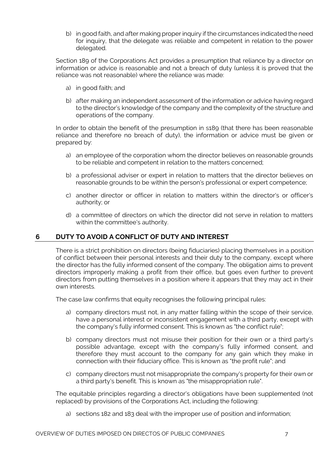b) in good faith, and after making proper inquiry if the circumstances indicated the need for inquiry, that the delegate was reliable and competent in relation to the power delegated.

Section 189 of the Corporations Act provides a presumption that reliance by a director on information or advice is reasonable and not a breach of duty (unless it is proved that the reliance was not reasonable) where the reliance was made:

- a) in good faith; and
- b) after making an independent assessment of the information or advice having regard to the director's knowledge of the company and the complexity of the structure and operations of the company.

In order to obtain the benefit of the presumption in s189 (that there has been reasonable reliance and therefore no breach of duty), the information or advice must be given or prepared by:

- a) an employee of the corporation whom the director believes on reasonable grounds to be reliable and competent in relation to the matters concerned;
- b) a professional adviser or expert in relation to matters that the director believes on reasonable grounds to be within the person's professional or expert competence;
- c) another director or officer in relation to matters within the director's or officer's authority; or
- d) a committee of directors on which the director did not serve in relation to matters within the committee's authority.

# **6 DUTY TO AVOID A CONFLICT OF DUTY AND INTEREST**

There is a strict prohibition on directors (being fiduciaries) placing themselves in a position of conflict between their personal interests and their duty to the company, except where the director has the fully informed consent of the company. The obligation aims to prevent directors improperly making a profit from their office, but goes even further to prevent directors from putting themselves in a position where it appears that they may act in their own interests.

The case law confirms that equity recognises the following principal rules:

- a) company directors must not, in any matter falling within the scope of their service, have a personal interest or inconsistent engagement with a third party, except with the company's fully informed consent. This is known as "the conflict rule";
- b) company directors must not misuse their position for their own or a third party's possible advantage, except with the company's fully informed consent, and therefore they must account to the company for any gain which they make in connection with their fiduciary office. This is known as "the profit rule"; and
- c) company directors must not misappropriate the company's property for their own or a third party's benefit. This is known as "the misappropriation rule".

The equitable principles regarding a director's obligations have been supplemented (not replaced) by provisions of the Corporations Act, including the following:

a) sections 182 and 183 deal with the improper use of position and information;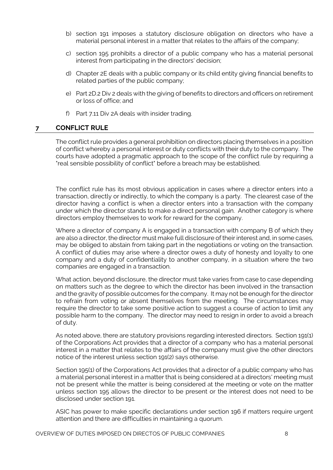- b) section 191 imposes a statutory disclosure obligation on directors who have a material personal interest in a matter that relates to the affairs of the company;
- c) section 195 prohibits a director of a public company who has a material personal interest from participating in the directors' decision;
- d) Chapter 2E deals with a public company or its child entity giving financial benefits to related parties of the public company;
- e) Part 2D.2 Div 2 deals with the giving of benefits to directors and officers on retirement or loss of office; and
- f) Part 7.11 Div 2A deals with insider trading.

# **7 CONFLICT RULE**

The conflict rule provides a general prohibition on directors placing themselves in a position of conflict whereby a personal interest or duty conflicts with their duty to the company. The courts have adopted a pragmatic approach to the scope of the conflict rule by requiring a "real sensible possibility of conflict" before a breach may be established.

The conflict rule has its most obvious application in cases where a director enters into a transaction, directly or indirectly, to which the company is a party. The clearest case of the director having a conflict is when a director enters into a transaction with the company under which the director stands to make a direct personal gain. Another category is where directors employ themselves to work for reward for the company.

Where a director of company A is engaged in a transaction with company B of which they are also a director, the director must make full disclosure of their interest and, in some cases, may be obliged to abstain from taking part in the negotiations or voting on the transaction. A conflict of duties may arise where a director owes a duty of honesty and loyalty to one company and a duty of confidentiality to another company, in a situation where the two companies are engaged in a transaction.

What action, beyond disclosure, the director must take varies from case to case depending on matters such as the degree to which the director has been involved in the transaction and the gravity of possible outcomes for the company. It may not be enough for the director to refrain from voting or absent themselves from the meeting. The circumstances may require the director to take some positive action to suggest a course of action to limit any possible harm to the company. The director may need to resign in order to avoid a breach of duty.

As noted above, there are statutory provisions regarding interested directors. Section 191(1) of the Corporations Act provides that a director of a company who has a material personal interest in a matter that relates to the affairs of the company must give the other directors notice of the interest unless section 191(2) says otherwise.

Section 195(1) of the Corporations Act provides that a director of a public company who has a material personal interest in a matter that is being considered at a directors' meeting must not be present while the matter is being considered at the meeting or vote on the matter unless section 195 allows the director to be present or the interest does not need to be disclosed under section 191.

ASIC has power to make specific declarations under section 196 if matters require urgent attention and there are difficulties in maintaining a quorum.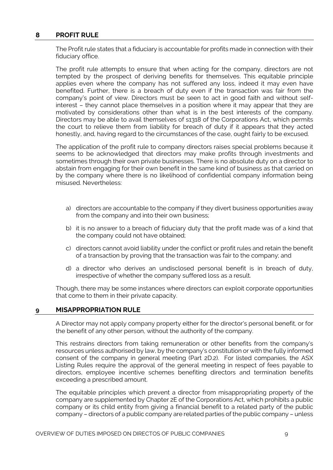# **8 PROFIT RULE**

The Profit rule states that a fiduciary is accountable for profits made in connection with their fiduciary office.

The profit rule attempts to ensure that when acting for the company, directors are not tempted by the prospect of deriving benefits for themselves. This equitable principle applies even where the company has not suffered any loss, indeed it may even have benefited. Further, there is a breach of duty even if the transaction was fair from the company's point of view. Directors must be seen to act in good faith and without selfinterest – they cannot place themselves in a position where it may appear that they are motivated by considerations other than what is in the best interests of the company. Directors may be able to avail themselves of s1318 of the Corporations Act, which permits the court to relieve them from liability for breach of duty if it appears that they acted honestly, and, having regard to the circumstances of the case, ought fairly to be excused.

The application of the profit rule to company directors raises special problems because it seems to be acknowledged that directors may make profits through investments and sometimes through their own private businesses. There is no absolute duty on a director to abstain from engaging for their own benefit in the same kind of business as that carried on by the company where there is no likelihood of confidential company information being misused. Nevertheless:

- a) directors are accountable to the company if they divert business opportunities away from the company and into their own business;
- b) it is no answer to a breach of fiduciary duty that the profit made was of a kind that the company could not have obtained;
- c) directors cannot avoid liability under the conflict or profit rules and retain the benefit of a transaction by proving that the transaction was fair to the company; and
- d) a director who derives an undisclosed personal benefit is in breach of duty, irrespective of whether the company suffered loss as a result.

Though, there may be some instances where directors can exploit corporate opportunities that come to them in their private capacity.

# **9 MISAPPROPRIATION RULE**

A Director may not apply company property either for the director's personal benefit, or for the benefit of any other person, without the authority of the company.

This restrains directors from taking remuneration or other benefits from the company's resources unless authorised by law, by the company's constitution or with the fully informed consent of the company in general meeting (Part 2D.2). For listed companies, the ASX Listing Rules require the approval of the general meeting in respect of fees payable to directors, employee incentive schemes benefiting directors and termination benefits exceeding a prescribed amount.

The equitable principles which prevent a director from misappropriating property of the company are supplemented by Chapter 2E of the Corporations Act, which prohibits a public company or its child entity from giving a financial benefit to a related party of the public company – directors of a public company are related parties of the public company – unless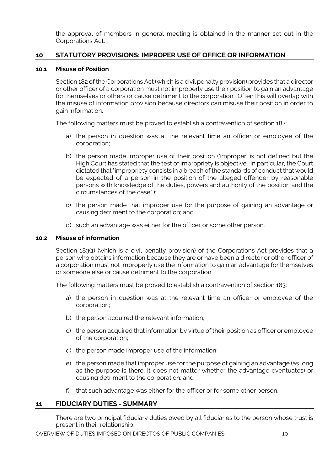the approval of members in general meeting is obtained in the manner set out in the Corporations Act.

# **10 STATUTORY PROVISIONS: IMPROPER USE OF OFFICE OR INFORMATION**

# **10.1 Misuse of Position**

Section 182 of the Corporations Act (which is a civil penalty provision) provides that a director or other officer of a corporation must not improperly use their position to gain an advantage for themselves or others or cause detriment to the corporation. Often this will overlap with the misuse of information provision because directors can misuse their position in order to gain information.

The following matters must be proved to establish a contravention of section 182:

- a) the person in question was at the relevant time an officer or employee of the corporation;
- b) the person made improper use of their position ('improper' is not defined but the High Court has stated that the test of impropriety is objective. In particular, the Court dictated that "impropriety consists in a breach of the standards of conduct that would be expected of a person in the position of the alleged offender by reasonable persons with knowledge of the duties, powers and authority of the position and the circumstances of the case".);
- c) the person made that improper use for the purpose of gaining an advantage or causing detriment to the corporation; and
- d) such an advantage was either for the officer or some other person.

#### **10.2 Misuse of information**

Section 183(1) (which is a civil penalty provision) of the Corporations Act provides that a person who obtains information because they are or have been a director or other officer of a corporation must not improperly use the information to gain an advantage for themselves or someone else or cause detriment to the corporation.

The following matters must be proved to establish a contravention of section 183:

- a) the person in question was at the relevant time an officer or employee of the corporation;
- b) the person acquired the relevant information;
- c) the person acquired that information by virtue of their position as officer or employee of the corporation;
- d) the person made improper use of the information;
- e) the person made that improper use for the purpose of gaining an advantage (as long as the purpose is there, it does not matter whether the advantage eventuates) or causing detriment to the corporation; and
- f) that such advantage was either for the officer or for some other person.

# **11 FIDUCIARY DUTIES - SUMMARY**

There are two principal fiduciary duties owed by all fiduciaries to the person whose trust is present in their relationship: